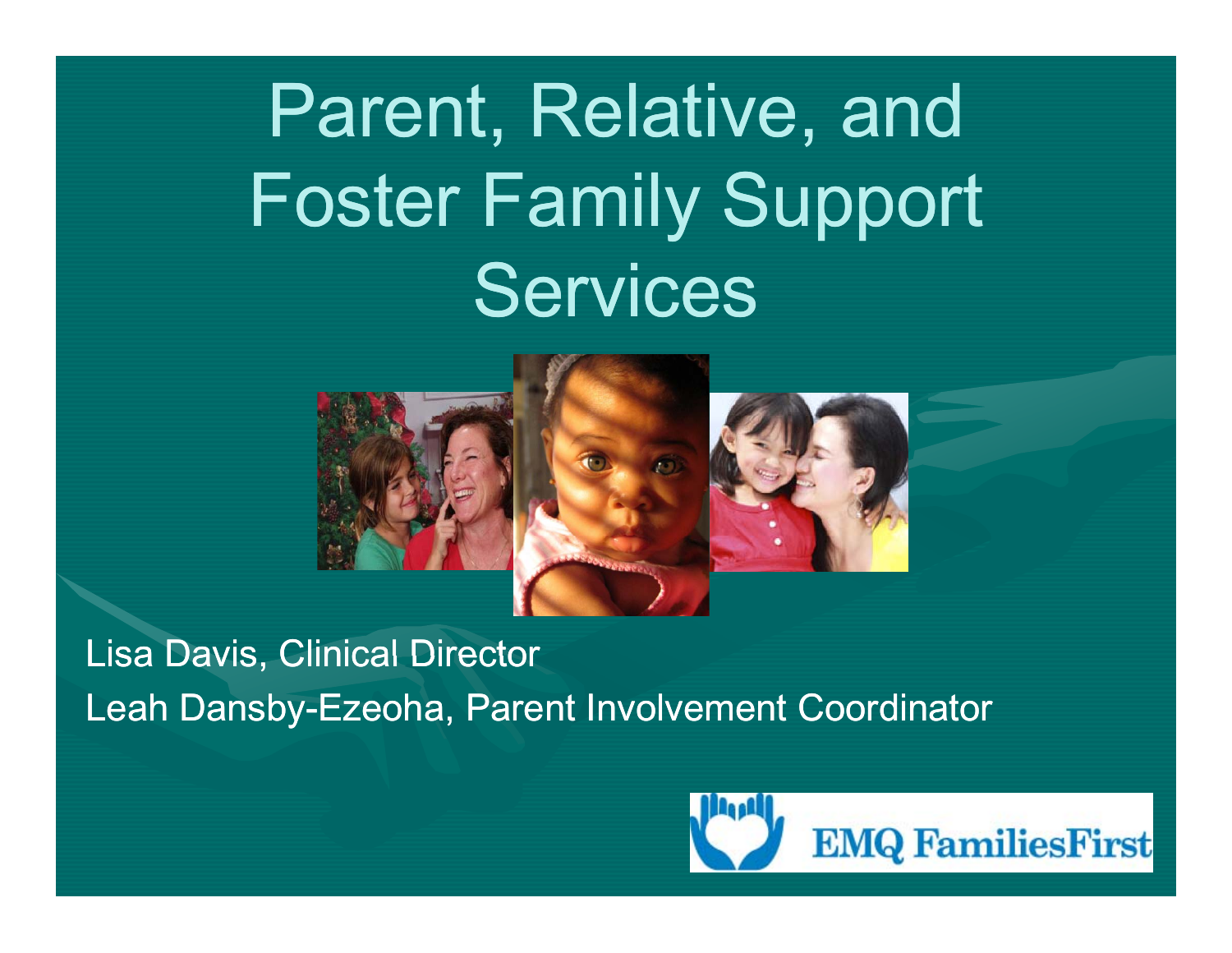## Parent, Relative, and Foster Family Support **Services**



Lisa Davis, Clinical Director Leah Dansby-Ezeoha, Parent Involvement Coordinator

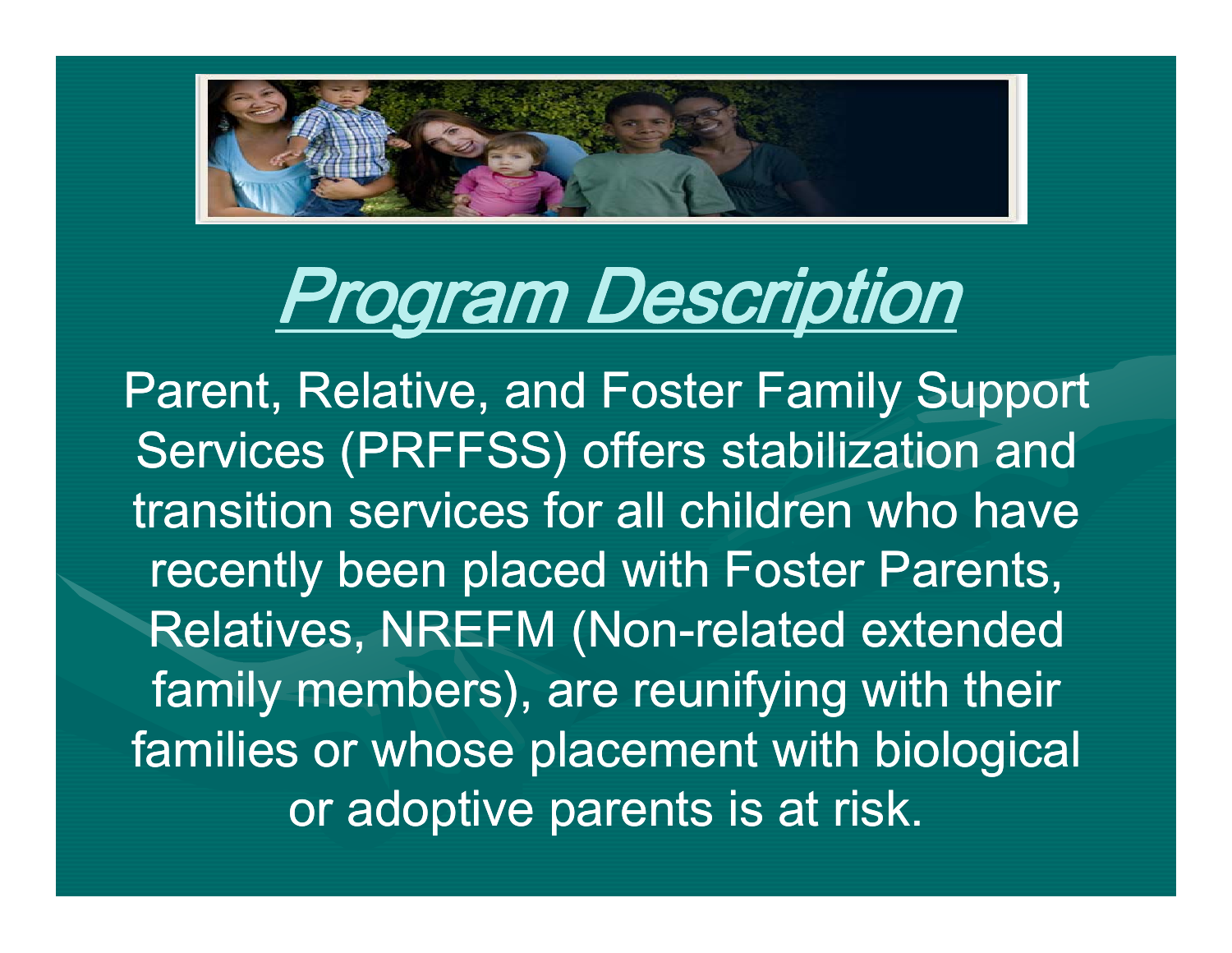

## Program Description Program

Parent, Relative, and Foster Family Support Services (PRFFSS) offers stabilization and transition services for all children who have recently been placed with Foster Parents, Relatives, NREFM (Non-related extended family members), are reunifying with their families or whose placement with biological or adoptive parents is at risk.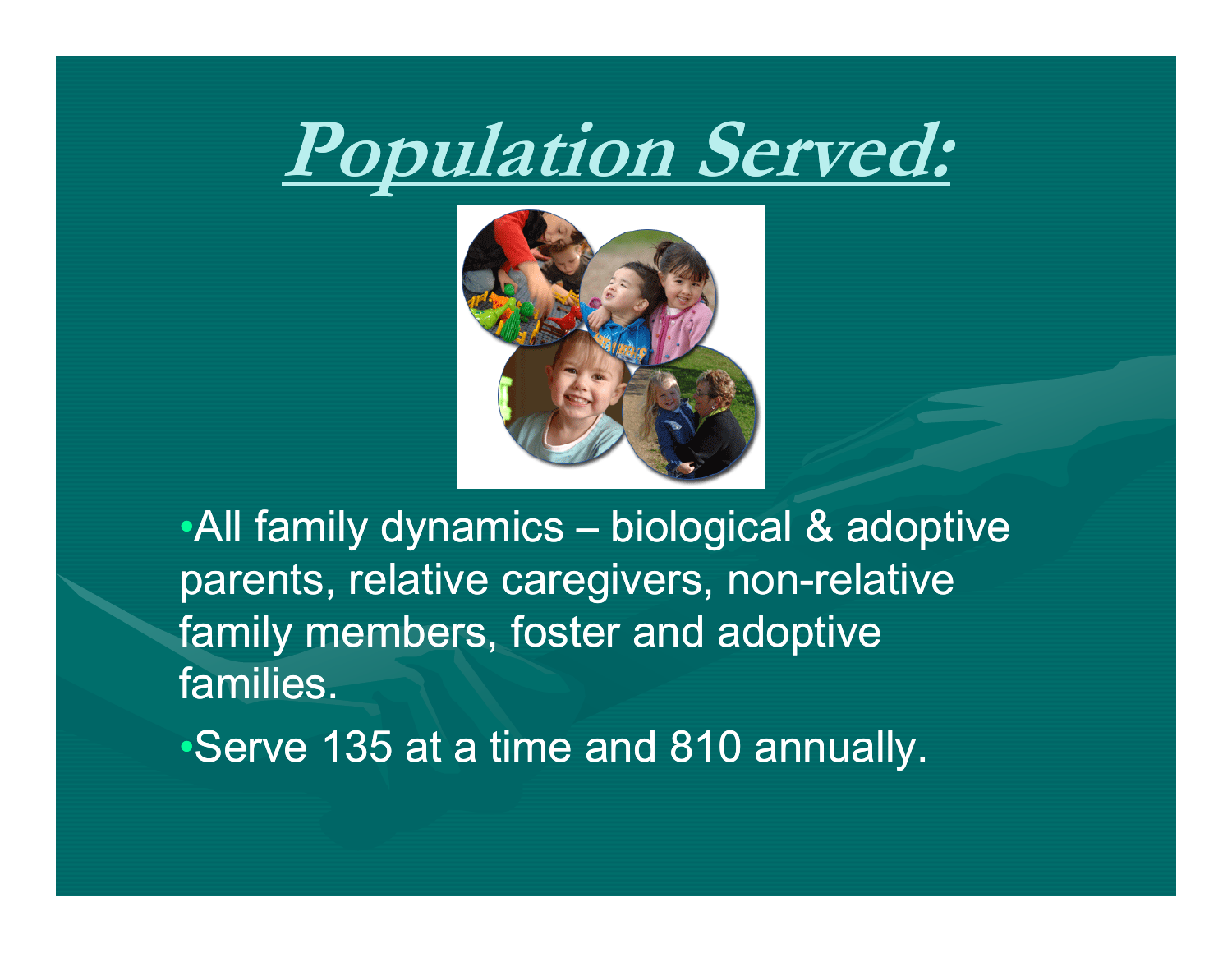



• All family dynamics  $-$  biological  $\&$  adoptive parents, relative caregivers, non-relative family members, foster and adoptive families.

•Serve 135 at a time and 810 annually.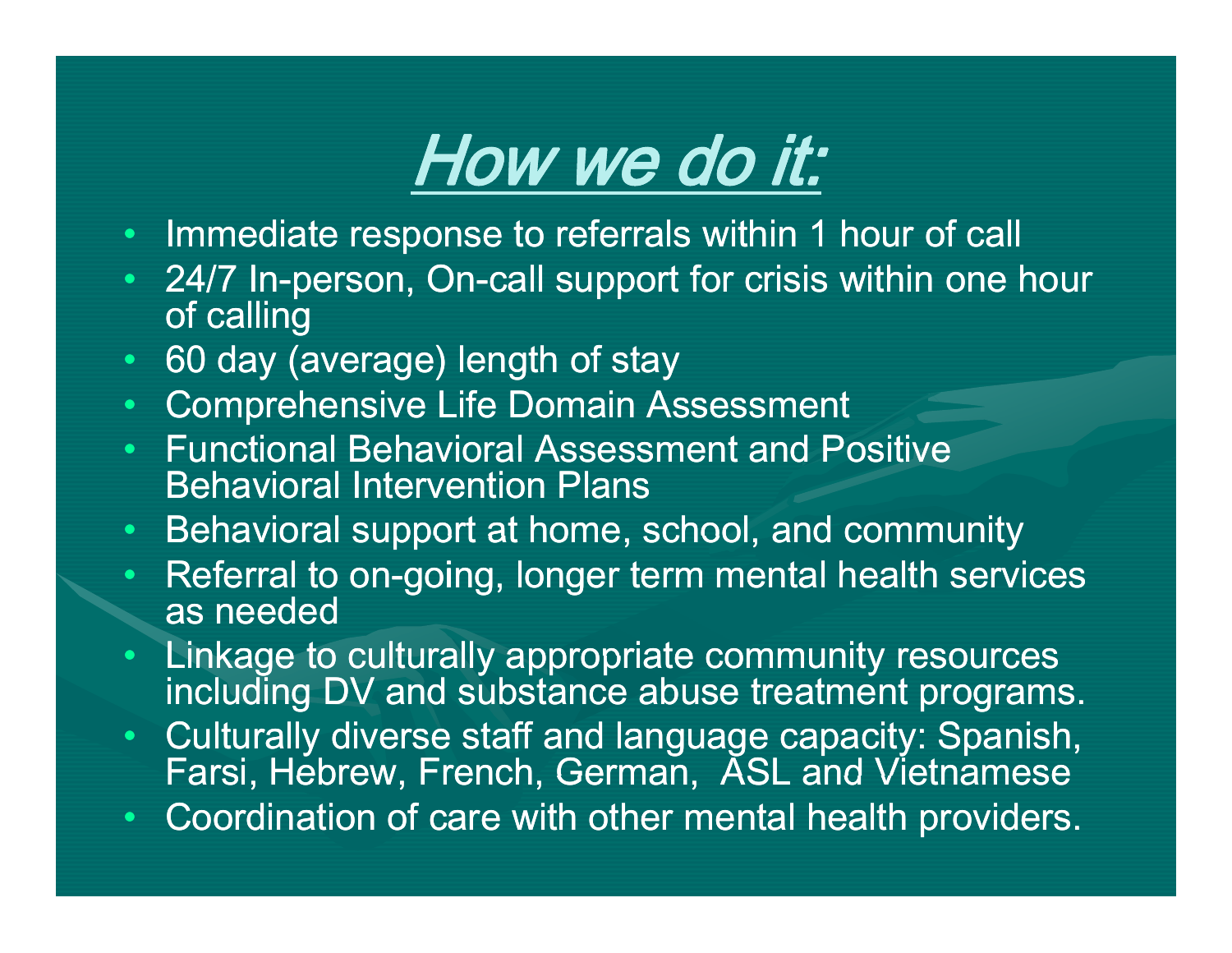### How we do it:

- Immediate response to referrals within 1 hour of call
- 24/7 In-person, On-call support for crisis within one hour of calling
- •60 day (average) length of stay
- •**Comprehensive Life Domain Assessment**
- • Functional Behavioral Assessment and Positive Behavioral Intervention Plans
- •Behavioral support at home, school, and community
- •• Referral to on-going, longer term mental health services as needed
- • Linkage to culturally appropriate community resources including DV and substance abuse treatment programs.
- Culturally diverse staff and language capacity: Spanish, Farsi, Hebrew, French, German, ASL and Vietnamese
- •Coordination of care with other mental health providers.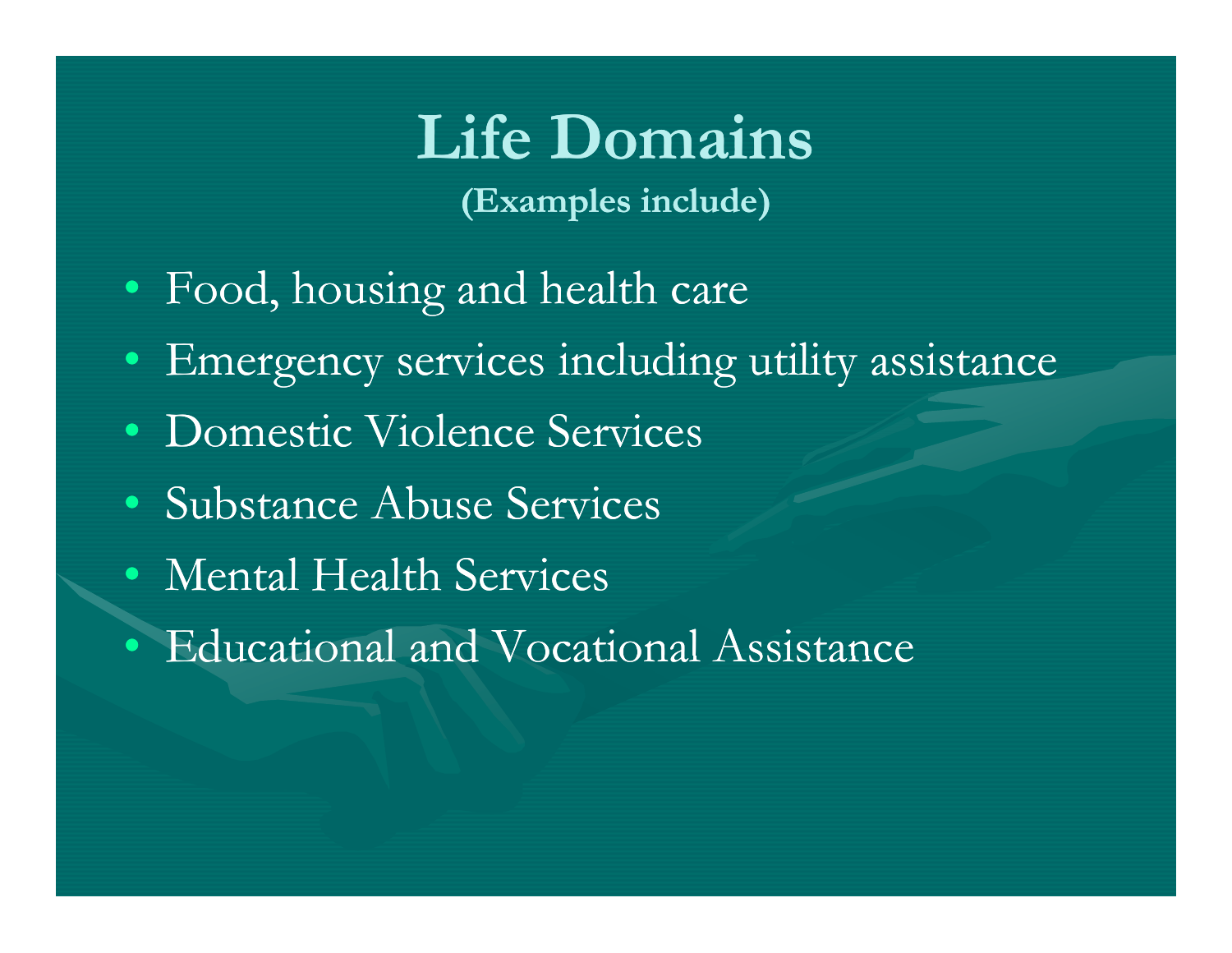### **Life Domains (Examples include)**

- Food, housing and health care
- •Emergency services including utility assistance
- Domestic Violence Services
- Substance Abuse Services
- Mental Health Services
- Educational and Vocational Assistance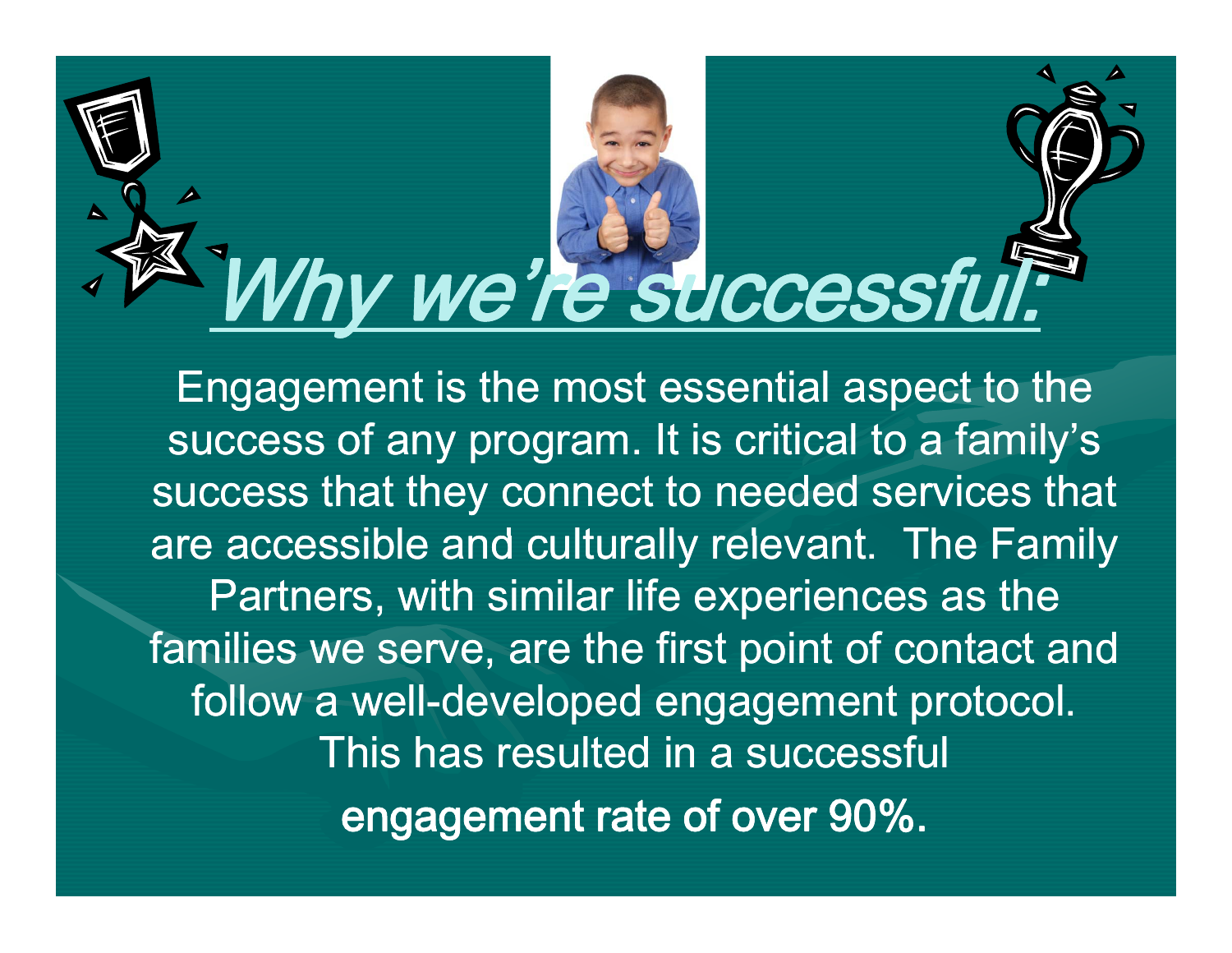# Why we're successful

Engagement is the most essential aspect to the success of any program. It is critical to a family's success that they connect to needed services that are accessible and culturally relevant. The Family Partners, with similar life experiences as the families we serve, are the first point of contact and follow a well-developed engagement protocol. This has resulted in a successful engagement rate of over 90%.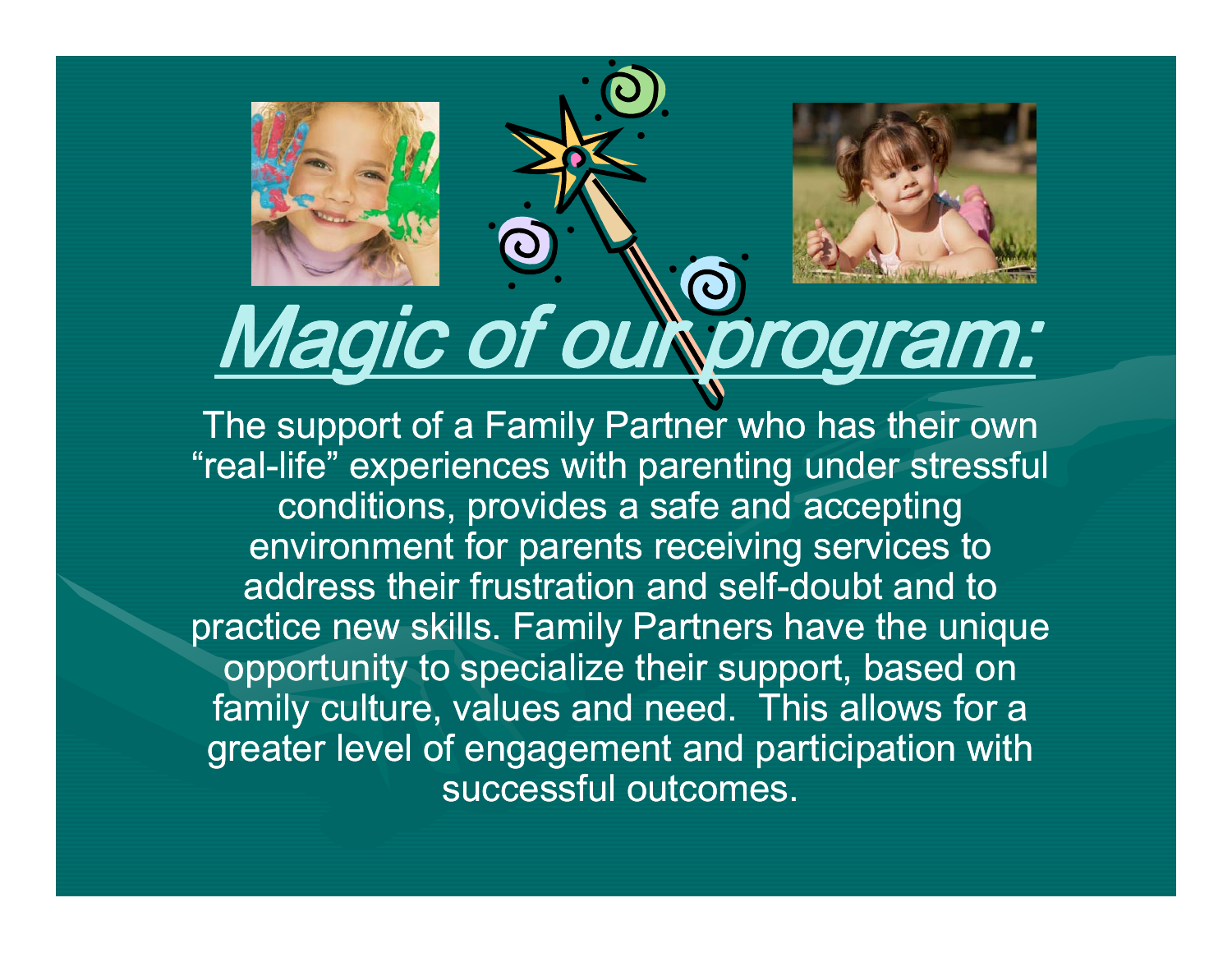

## Magic of our program:

The support of a Family Partner who has their own "real-life" experiences with parenting under stressful conditions, provides a safe and accepting environment for parents receiving services to address their frustration and self-doubt and to practice new skills. Family Partners have the unique opportunity to specialize their support, based on family culture, values and need. This allows for a greater level of engagement and participation with successful outcomes.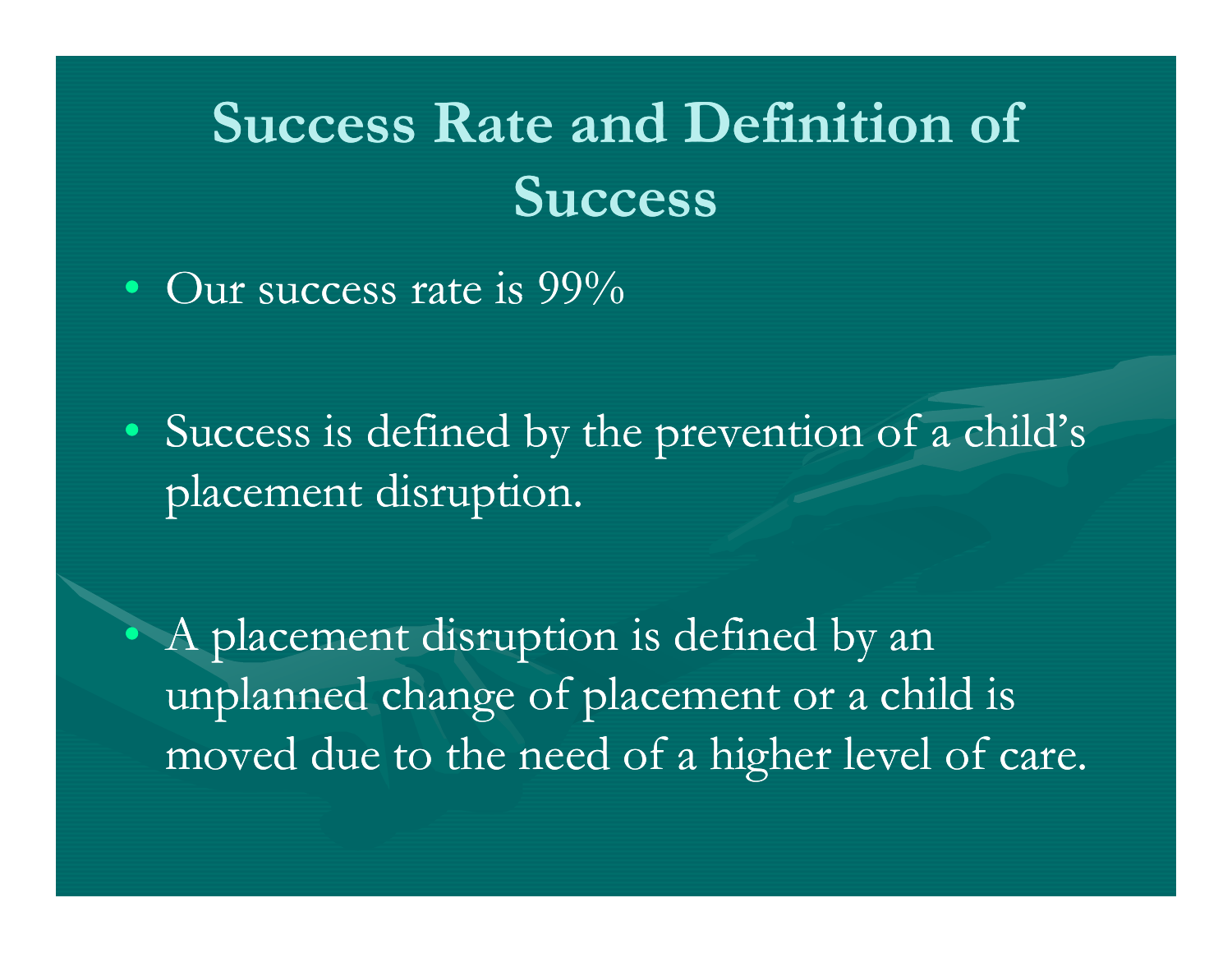### **Success Rate and Definition of Success**

• Our success rate is  $99\%$ 

• Success is defined by the prevention of a child's placement disruption.

• A placement disruption is defined by an unplanned change of placement or a child is moved due to the need of a hi gher level of care.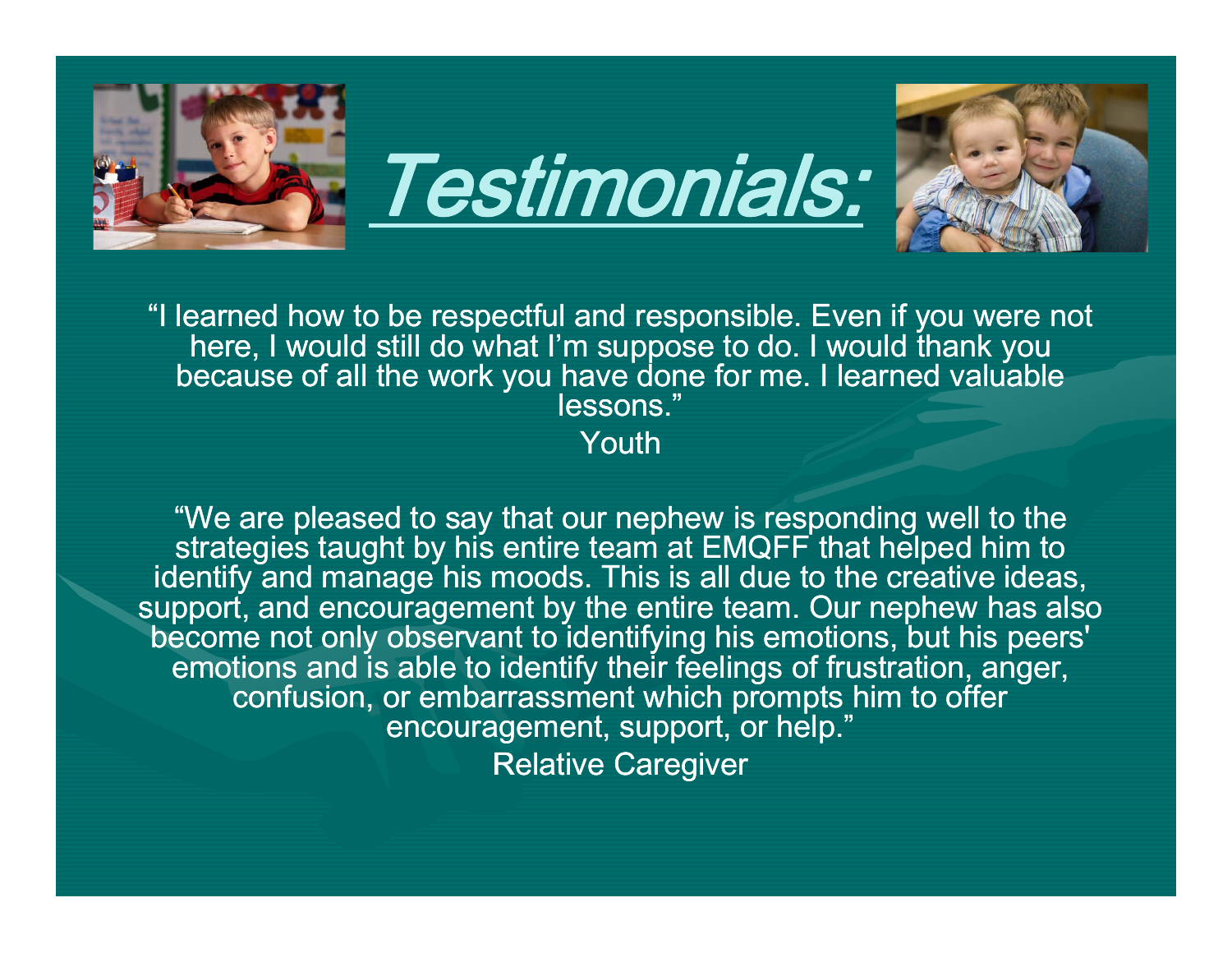

"I learned how to be respectful and responsible. Even if you were not here, I would still do what I'm suppose to do. I would thank you because of all the work you have done for me. I learned valuable lessons."Youth

"We are pleased to say that our nephew is responding well to the strategies taught by his entire team at EM QFF that helped him to identify and manage his moods. This is all due to the creative ideas, support, and encouragement by the entire team. Our nephew has also become not only observant to identifying his emotions, but his peers' emotions and is able to identify their feelings of frustration, anger, confusion, or embarrassment which prompts him to offer encouragement, support, or help." Relative Caregiver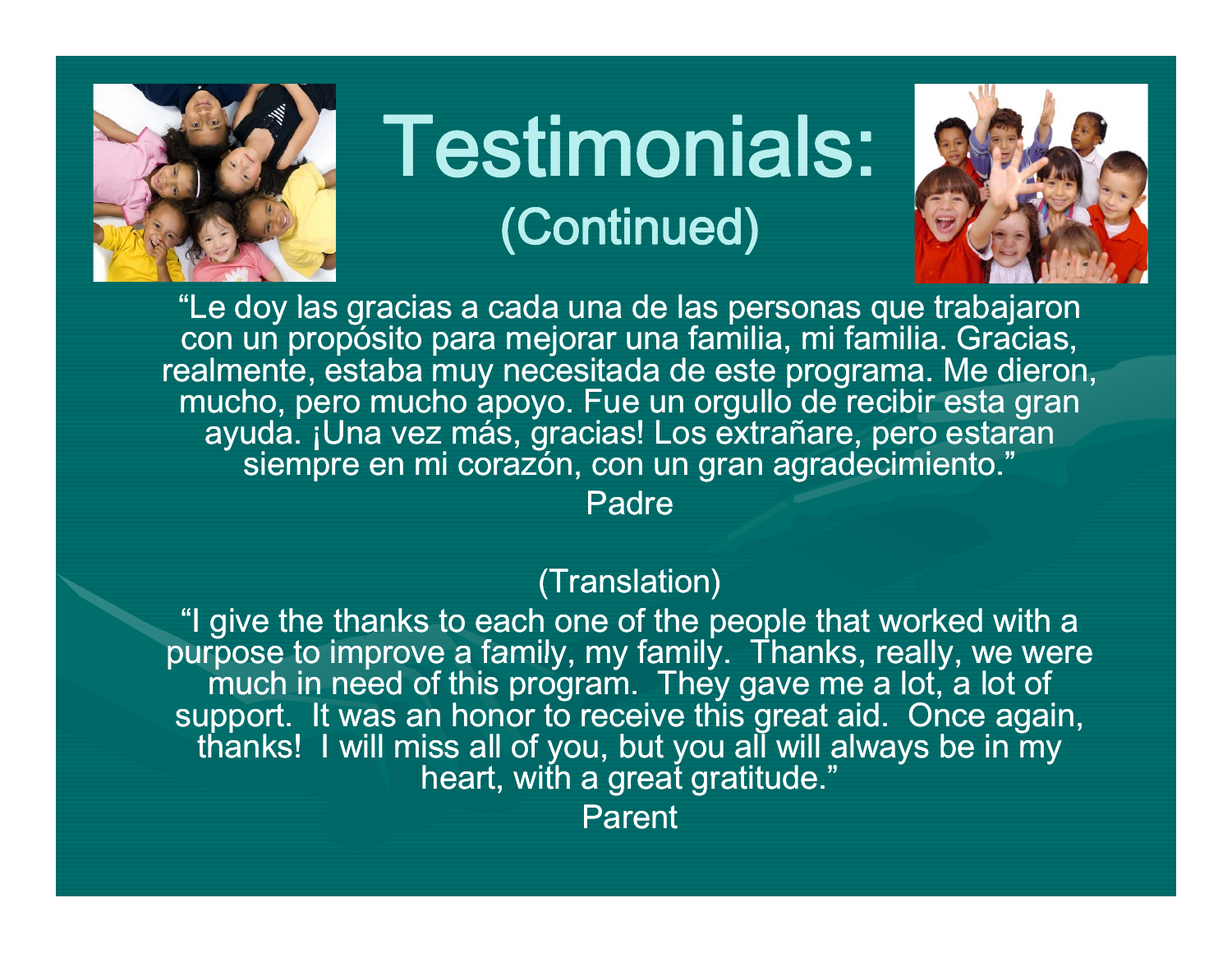

### Testimonials: (Continued)



"Le doy las gracias a cada una de las personas que trabajaron con un propósito para mejorar una familia, mi familia. Gracias, realmente, estaba muy necesitada de este programa. Me dieron, mucho, pero mucho apoyo. Fue un orgullo de recibir esta gran ayuda. ¡Una vez más, gracias! Los extrañare, pero estaran siempre en mi corazón, con un gran agradecimiento."

Padre

#### (Translation)

"I give the thanks to each one of the people that worked with a purpose to improve a family, my family. Thanks, really, we were much in need of this program. They gave me a lot, a lot of support. It was an honor to receive this great aid. Once again, thanks! I will miss all of you, but you all will always be in my heart, with a great gratitude."

Parent